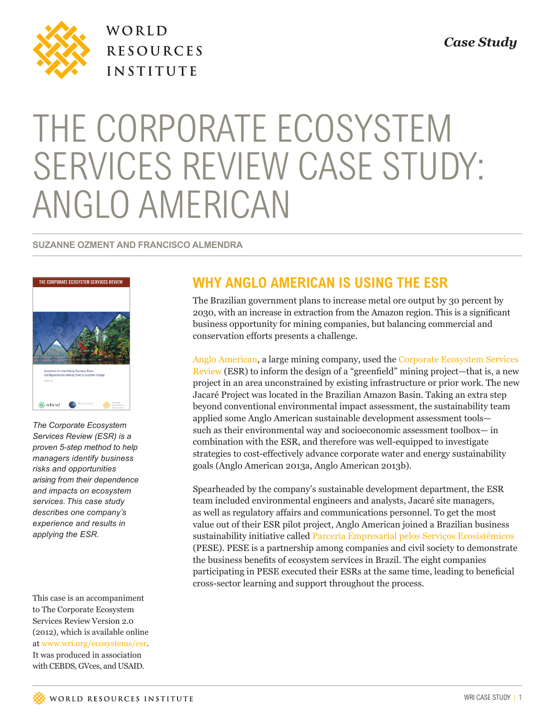

WORLD **RESOURCES INSTITUTE** 

# THE CORPORATE ECOSYSTEM SERVICES REVIEW CASE STUDY: ANGLO AMERICAN

#### **SUZANNE OZMENT AND FRANCISCO ALMENDRA**



*The Corporate Ecosystem Services Review (ESR) is a proven 5-step method to help managers identify business risks and opportunities arising from their dependence and impacts on ecosystem services.This case study describes one company's experience and results in applying the ESR.* 

This case is an accompaniment to The Corporate Ecosystem Services Review Version 2.0 (2012), which is available online at www.wri.org/ecosystems/esr. It was produced in association with CEBDS, GVces, and USAID.

# **WHY ANGLO AMERICAN IS USING THE ESR**

The Brazilian government plans to increase metal ore output by 30 percent by 2030, with an increase in extraction from the Amazon region. This is a significant business opportunity for mining companies, but balancing commercial and conservation efforts presents a challenge.

[Anglo American](http://www.angloamerican.com.br/), a large mining company, used the [Corporate Ecosystem Services](www.wri.org/ecosystems/esr)  [Review \(ESR](www.wri.org/ecosystems/esr)) to inform the design of a "greenfield" mining project—that is, a new project in an area unconstrained by existing infrastructure or prior work. The new Jacaré Project was located in the Brazilian Amazon Basin. Taking an extra step beyond conventional environmental impact assessment, the sustainability team applied some Anglo American sustainable development assessment tools such as their environmental way and socioeconomic assessment toolbox— in combination with the ESR, and therefore was well-equipped to investigate strategies to cost-effectively advance corporate water and energy sustainability goals (Anglo American 2013a, Anglo American 2013b).

Spearheaded by the company's sustainable development department, the ESR team included environmental engineers and analysts, Jacaré site managers, as well as regulatory affairs and communications personnel. To get the most value out of their ESR pilot project, Anglo American joined a Brazilian business sustainability initiative called [Parceria Empresarial pelos Serviços Ecosistêmicos](www.wri.org/pese) (PESE). PESE is a partnership among companies and civil society to demonstrate the business benefits of ecosystem services in Brazil. The eight companies participating in PESE executed their ESRs at the same time, leading to beneficial cross-sector learning and support throughout the process.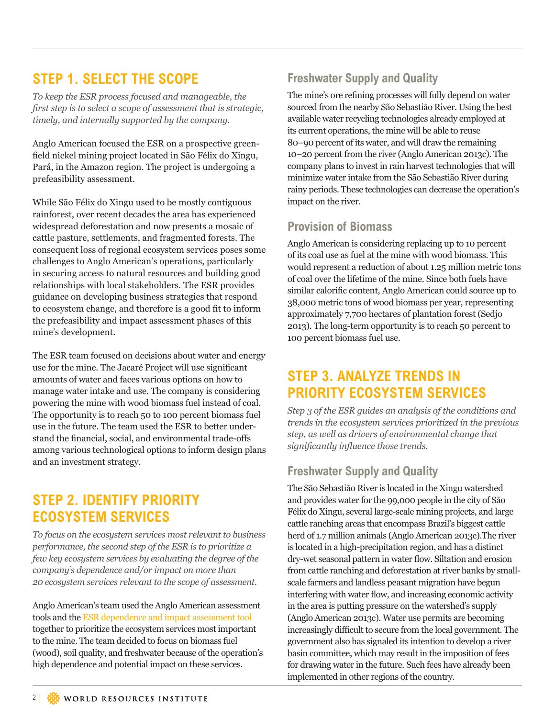## **STEP 1. SELECT THE SCOPE**

*To keep the ESR process focused and manageable, the first step is to select a scope of assessment that is strategic, timely, and internally supported by the company.* 

Anglo American focused the ESR on a prospective greenfield nickel mining project located in São Félix do Xingu, Pará, in the Amazon region. The project is undergoing a prefeasibility assessment.

While São Félix do Xingu used to be mostly contiguous rainforest, over recent decades the area has experienced widespread deforestation and now presents a mosaic of cattle pasture, settlements, and fragmented forests. The consequent loss of regional ecosystem services poses some challenges to Anglo American's operations, particularly in securing access to natural resources and building good relationships with local stakeholders. The ESR provides guidance on developing business strategies that respond to ecosystem change, and therefore is a good fit to inform the prefeasibility and impact assessment phases of this mine's development.

The ESR team focused on decisions about water and energy use for the mine. The Jacaré Project will use significant amounts of water and faces various options on how to manage water intake and use. The company is considering powering the mine with wood biomass fuel instead of coal. The opportunity is to reach 50 to 100 percent biomass fuel use in the future. The team used the ESR to better understand the financial, social, and environmental trade-offs among various technological options to inform design plans and an investment strategy.

## **STEP 2. IDENTIFY PRIORITY ECOSYSTEM SERVICES**

*To focus on the ecosystem services most relevant to business performance, the second step of the ESR is to prioritize a few key ecosystem services by evaluating the degree of the company's dependence and/or impact on more than 20 ecosystem services relevant to the scope of assessment.*

Anglo American's team used the Anglo American assessment tools and the [ESR dependence and impact assessment tool](http://docs.wri.org/esr_dependence_impact_assessment_tool.xls)  together to prioritize the ecosystem services most important to the mine. The team decided to focus on biomass fuel (wood), soil quality, and freshwater because of the operation's high dependence and potential impact on these services.

#### **Freshwater Supply and Quality**

The mine's ore refining processes will fully depend on water sourced from the nearby São Sebastião River. Using the best available water recycling technologies already employed at its current operations, the mine will be able to reuse 80–90 percent of its water, and will draw the remaining 10–20 percent from the river (Anglo American 2013c). The company plans to invest in rain harvest technologies that will minimize water intake from the São Sebastião River during rainy periods. These technologies can decrease the operation's impact on the river.

#### **Provision of Biomass**

Anglo American is considering replacing up to 10 percent of its coal use as fuel at the mine with wood biomass. This would represent a reduction of about 1.25 million metric tons of coal over the lifetime of the mine. Since both fuels have similar calorific content, Anglo American could source up to 38,000 metric tons of wood biomass per year, representing approximately 7,700 hectares of plantation forest (Sedjo 2013). The long-term opportunity is to reach 50 percent to 100 percent biomass fuel use.

### **STEP 3. ANALYZE TRENDS IN PRIORITY ECOSYSTEM SERVICES**

*Step 3 of the ESR guides an analysis of the conditions and trends in the ecosystem services prioritized in the previous step, as well as drivers of environmental change that significantly influence those trends.*

#### **Freshwater Supply and Quality**

The São Sebastião River is located in the Xingu watershed and provides water for the 99,000 people in the city of São Félix do Xingu, several large-scale mining projects, and large cattle ranching areas that encompass Brazil's biggest cattle herd of 1.7 million animals (Anglo American 2013c).The river is located in a high-precipitation region, and has a distinct dry-wet seasonal pattern in water flow. Siltation and erosion from cattle ranching and deforestation at river banks by smallscale farmers and landless peasant migration have begun interfering with water flow, and increasing economic activity in the area is putting pressure on the watershed's supply (Anglo American 2013c). Water use permits are becoming increasingly difficult to secure from the local government. The government also has signaled its intention to develop a river basin committee, which may result in the imposition of fees for drawing water in the future. Such fees have already been implemented in other regions of the country.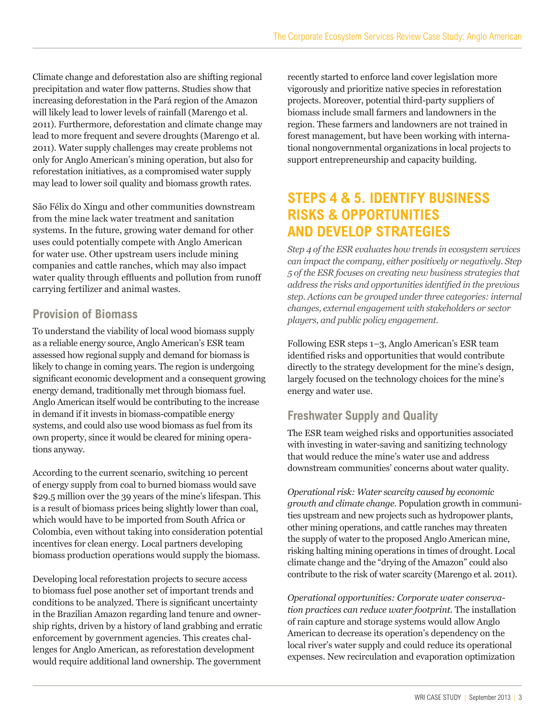Climate change and deforestation also are shifting regional precipitation and water flow patterns. Studies show that increasing deforestation in the Pará region of the Amazon will likely lead to lower levels of rainfall (Marengo et al. 2011). Furthermore, deforestation and climate change may lead to more frequent and severe droughts (Marengo et al. 2011). Water supply challenges may create problems not only for Anglo American's mining operation, but also for reforestation initiatives, as a compromised water supply may lead to lower soil quality and biomass growth rates.

São Félix do Xingu and other communities downstream from the mine lack water treatment and sanitation systems. In the future, growing water demand for other uses could potentially compete with Anglo American for water use. Other upstream users include mining companies and cattle ranches, which may also impact water quality through effluents and pollution from runoff carrying fertilizer and animal wastes.

#### **Provision of Biomass**

To understand the viability of local wood biomass supply as a reliable energy source, Anglo American's ESR team assessed how regional supply and demand for biomass is likely to change in coming years. The region is undergoing significant economic development and a consequent growing energy demand, traditionally met through biomass fuel. Anglo American itself would be contributing to the increase in demand if it invests in biomass-compatible energy systems, and could also use wood biomass as fuel from its own property, since it would be cleared for mining operations anyway.

According to the current scenario, switching 10 percent of energy supply from coal to burned biomass would save \$29.5 million over the 39 years of the mine's lifespan. This is a result of biomass prices being slightly lower than coal, which would have to be imported from South Africa or Colombia, even without taking into consideration potential incentives for clean energy. Local partners developing biomass production operations would supply the biomass.

Developing local reforestation projects to secure access to biomass fuel pose another set of important trends and conditions to be analyzed. There is significant uncertainty in the Brazilian Amazon regarding land tenure and ownership rights, driven by a history of land grabbing and erratic enforcement by government agencies. This creates challenges for Anglo American, as reforestation development would require additional land ownership. The government

recently started to enforce land cover legislation more vigorously and prioritize native species in reforestation projects. Moreover, potential third-party suppliers of biomass include small farmers and landowners in the region. These farmers and landowners are not trained in forest management, but have been working with international nongovernmental organizations in local projects to support entrepreneurship and capacity building.

### **STEPS 4 & 5. IDENTIFY BUSINESS RISKS & OPPORTUNITIES AND DEVELOP STRATEGIES**

*Step 4 of the ESR evaluates how trends in ecosystem services can impact the company, either positively or negatively. Step 5 of the ESR focuses on creating new business strategies that address the risks and opportunities identified in the previous step. Actions can be grouped under three categories: internal changes, external engagement with stakeholders or sector players, and public policy engagement.*

Following ESR steps 1–3, Anglo American's ESR team identified risks and opportunities that would contribute directly to the strategy development for the mine's design, largely focused on the technology choices for the mine's energy and water use.

#### **Freshwater Supply and Quality**

The ESR team weighed risks and opportunities associated with investing in water-saving and sanitizing technology that would reduce the mine's water use and address downstream communities' concerns about water quality.

*Operational risk: Water scarcity caused by economic growth and climate change.* Population growth in communities upstream and new projects such as hydropower plants, other mining operations, and cattle ranches may threaten the supply of water to the proposed Anglo American mine, risking halting mining operations in times of drought. Local climate change and the "drying of the Amazon" could also contribute to the risk of water scarcity (Marengo et al. 2011).

*Operational opportunities: Corporate water conservation practices can reduce water footprint.* The installation of rain capture and storage systems would allow Anglo American to decrease its operation's dependency on the local river's water supply and could reduce its operational expenses. New recirculation and evaporation optimization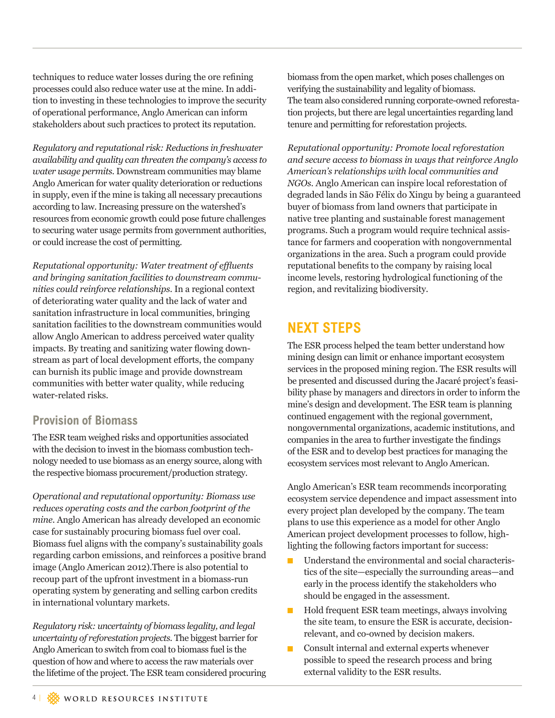techniques to reduce water losses during the ore refining processes could also reduce water use at the mine. In addition to investing in these technologies to improve the security of operational performance, Anglo American can inform stakeholders about such practices to protect its reputation.

*Regulatory and reputational risk: Reductions in freshwater availability and quality can threaten the company's access to water usage permits.* Downstream communities may blame Anglo American for water quality deterioration or reductions in supply, even if the mine is taking all necessary precautions according to law. Increasing pressure on the watershed's resources from economic growth could pose future challenges to securing water usage permits from government authorities, or could increase the cost of permitting.

*Reputational opportunity: Water treatment of effluents and bringing sanitation facilities to downstream communities could reinforce relationships.* In a regional context of deteriorating water quality and the lack of water and sanitation infrastructure in local communities, bringing sanitation facilities to the downstream communities would allow Anglo American to address perceived water quality impacts. By treating and sanitizing water flowing downstream as part of local development efforts, the company can burnish its public image and provide downstream communities with better water quality, while reducing water-related risks.

#### **Provision of Biomass**

The ESR team weighed risks and opportunities associated with the decision to invest in the biomass combustion technology needed to use biomass as an energy source, along with the respective biomass procurement/production strategy.

*Operational and reputational opportunity: Biomass use reduces operating costs and the carbon footprint of the mine.* Anglo American has already developed an economic case for sustainably procuring biomass fuel over coal. Biomass fuel aligns with the company's sustainability goals regarding carbon emissions, and reinforces a positive brand image (Anglo American 2012).There is also potential to recoup part of the upfront investment in a biomass-run operating system by generating and selling carbon credits in international voluntary markets.

*Regulatory risk: uncertainty of biomass legality, and legal uncertainty of reforestation projects.* The biggest barrier for Anglo American to switch from coal to biomass fuel is the question of how and where to access the raw materials over the lifetime of the project. The ESR team considered procuring

biomass from the open market, which poses challenges on verifying the sustainability and legality of biomass. The team also considered running corporate-owned reforestation projects, but there are legal uncertainties regarding land tenure and permitting for reforestation projects.

*Reputational opportunity: Promote local reforestation and secure access to biomass in ways that reinforce Anglo American's relationships with local communities and NGOs.* Anglo American can inspire local reforestation of degraded lands in São Félix do Xingu by being a guaranteed buyer of biomass from land owners that participate in native tree planting and sustainable forest management programs. Such a program would require technical assistance for farmers and cooperation with nongovernmental organizations in the area. Such a program could provide reputational benefits to the company by raising local income levels, restoring hydrological functioning of the region, and revitalizing biodiversity.

## **NEXT STEPS**

The ESR process helped the team better understand how mining design can limit or enhance important ecosystem services in the proposed mining region. The ESR results will be presented and discussed during the Jacaré project's feasibility phase by managers and directors in order to inform the mine's design and development. The ESR team is planning continued engagement with the regional government, nongovernmental organizations, academic institutions, and companies in the area to further investigate the findings of the ESR and to develop best practices for managing the ecosystem services most relevant to Anglo American.

Anglo American's ESR team recommends incorporating ecosystem service dependence and impact assessment into every project plan developed by the company. The team plans to use this experience as a model for other Anglo American project development processes to follow, highlighting the following factors important for success:

- Understand the environmental and social characteristics of the site—especially the surrounding areas—and early in the process identify the stakeholders who should be engaged in the assessment.
- Hold frequent ESR team meetings, always involving the site team, to ensure the ESR is accurate, decisionrelevant, and co-owned by decision makers.
- Consult internal and external experts whenever possible to speed the research process and bring external validity to the ESR results.